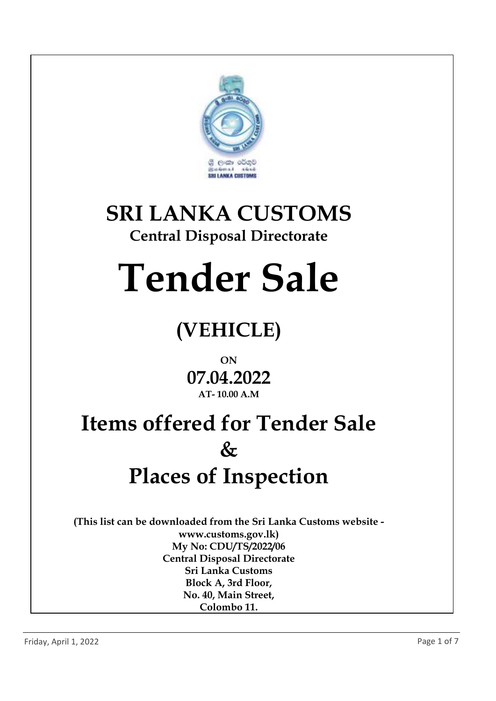

# **SRI LANKA CUSTOMS**

#### **Central Disposal Directorate**

# **Tender Sale**

### **(VEHICLE)**

#### **ON 07.04.2022 AT- 10.00 A.M**

## **Items offered for Tender Sale & Places of Inspection**

**(This list can be downloaded from the Sri Lanka Customs website www.customs.gov.lk) My No: CDU/TS/2022/06 Central Disposal Directorate Sri Lanka Customs Block A, 3rd Floor, No. 40, Main Street, Colombo 11.**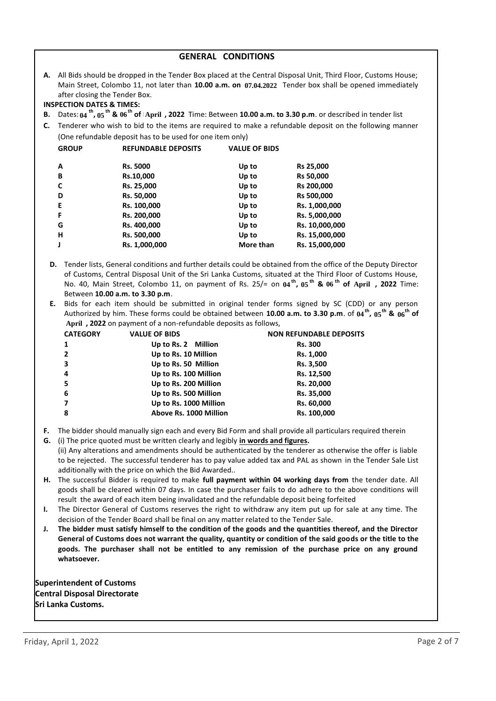| <b>GENERAL CONDITIONS</b>                  |                                                                                                                                                                                                                                                                                                                                                                                                               |                                                           |                      |                                                                                                                           |  |  |
|--------------------------------------------|---------------------------------------------------------------------------------------------------------------------------------------------------------------------------------------------------------------------------------------------------------------------------------------------------------------------------------------------------------------------------------------------------------------|-----------------------------------------------------------|----------------------|---------------------------------------------------------------------------------------------------------------------------|--|--|
|                                            | A. All Bids should be dropped in the Tender Box placed at the Central Disposal Unit, Third Floor, Customs House;<br>Main Street, Colombo 11, not later than 10.00 a.m. on 07.04.2022 Tender box shall be opened immediately<br>after closing the Tender Box.                                                                                                                                                  |                                                           |                      |                                                                                                                           |  |  |
|                                            | <b>INSPECTION DATES &amp; TIMES:</b>                                                                                                                                                                                                                                                                                                                                                                          |                                                           |                      |                                                                                                                           |  |  |
| В.                                         |                                                                                                                                                                                                                                                                                                                                                                                                               |                                                           |                      | Dates: $04^{th}$ , $05^{th}$ & $06^{th}$ of April, 2022 Time: Between 10.00 a.m. to 3.30 p.m. or described in tender list |  |  |
| C.                                         |                                                                                                                                                                                                                                                                                                                                                                                                               |                                                           |                      | Tenderer who wish to bid to the items are required to make a refundable deposit on the following manner                   |  |  |
|                                            |                                                                                                                                                                                                                                                                                                                                                                                                               | (One refundable deposit has to be used for one item only) |                      |                                                                                                                           |  |  |
|                                            | <b>GROUP</b>                                                                                                                                                                                                                                                                                                                                                                                                  | <b>REFUNDABLE DEPOSITS</b>                                | <b>VALUE OF BIDS</b> |                                                                                                                           |  |  |
|                                            | A                                                                                                                                                                                                                                                                                                                                                                                                             | Rs. 5000                                                  | Up to                | Rs 25,000                                                                                                                 |  |  |
|                                            | В                                                                                                                                                                                                                                                                                                                                                                                                             | Rs.10,000                                                 | Up to                | <b>Rs 50,000</b>                                                                                                          |  |  |
|                                            | C                                                                                                                                                                                                                                                                                                                                                                                                             | Rs. 25,000                                                | Up to                | Rs 200,000                                                                                                                |  |  |
|                                            | D<br>Rs. 50,000<br>Rs 500,000<br>Up to                                                                                                                                                                                                                                                                                                                                                                        |                                                           |                      |                                                                                                                           |  |  |
| E<br>Rs. 100,000<br>Rs. 1,000,000<br>Up to |                                                                                                                                                                                                                                                                                                                                                                                                               |                                                           |                      |                                                                                                                           |  |  |
| F<br>Rs. 200,000<br>Up to<br>Rs. 5,000,000 |                                                                                                                                                                                                                                                                                                                                                                                                               |                                                           |                      |                                                                                                                           |  |  |
| G<br>Rs. 400,000<br>Up to                  |                                                                                                                                                                                                                                                                                                                                                                                                               |                                                           | Rs. 10,000,000       |                                                                                                                           |  |  |
|                                            | н                                                                                                                                                                                                                                                                                                                                                                                                             | Rs. 500,000                                               | Up to                | Rs. 15,000,000                                                                                                            |  |  |
|                                            | Rs. 1,000,000<br>Rs. 15,000,000<br>J<br>More than                                                                                                                                                                                                                                                                                                                                                             |                                                           |                      |                                                                                                                           |  |  |
|                                            | Tender lists, General conditions and further details could be obtained from the office of the Deputy Director<br>D.<br>of Customs, Central Disposal Unit of the Sri Lanka Customs, situated at the Third Floor of Customs House,<br>No. 40, Main Street, Colombo 11, on payment of Rs. 25/= on $04^{\text{th}}$ , $05^{\text{th}}$ & $06^{\text{th}}$ of April, 2022 Time:<br>Between 10.00 a.m. to 3.30 p.m. |                                                           |                      |                                                                                                                           |  |  |
|                                            | Bids for each item should be submitted in original tender forms signed by SC (CDD) or any person<br>Е.                                                                                                                                                                                                                                                                                                        |                                                           |                      |                                                                                                                           |  |  |
|                                            | Authorized by him. These forms could be obtained between 10.00 a.m. to 3.30 p.m. of $04^{th}$ , $05^{th}$ & $06^{th}$ of                                                                                                                                                                                                                                                                                      |                                                           |                      |                                                                                                                           |  |  |
|                                            | April, 2022 on payment of a non-refundable deposits as follows,                                                                                                                                                                                                                                                                                                                                               |                                                           |                      |                                                                                                                           |  |  |

| <b>CATEGORY</b> | <b>VALUE OF BIDS</b>   | <b>NON REFUNDABLE DEPOSITS</b> |
|-----------------|------------------------|--------------------------------|
| 1               | Up to Rs. 2 Million    | <b>Rs. 300</b>                 |
| 2               | Up to Rs. 10 Million   | Rs. 1,000                      |
| 3               | Up to Rs. 50 Million   | Rs. 3,500                      |
| 4               | Up to Rs. 100 Million  | Rs. 12,500                     |
| 5               | Up to Rs. 200 Million  | Rs. 20,000                     |
| 6               | Up to Rs. 500 Million  | Rs. 35,000                     |
|                 | Up to Rs. 1000 Million | Rs. 60,000                     |
| 8               | Above Rs. 1000 Million | Rs. 100,000                    |
|                 |                        |                                |

- **F.** The bidder should manually sign each and every Bid Form and shall provide all particulars required therein
- **G.** (i) The price quoted must be written clearly and legibly **in words and figures.** (ii) Any alterations and amendments should be authenticated by the tenderer as otherwise the offer is liable to be rejected. The successful tenderer has to pay value added tax and PAL as shown in the Tender Sale List additionally with the price on which the Bid Awarded..
- **H.** The successful Bidder is required to make **full payment within 04 working days from** the tender date. All goods shall be cleared within 07 days. In case the purchaser fails to do adhere to the above conditions will result the award of each item being invalidated and the refundable deposit being forfeited
- **I.** The Director General of Customs reserves the right to withdraw any item put up for sale at any time. The decision of the Tender Board shall be final on any matter related to the Tender Sale.
- **J. The bidder must satisfy himself to the condition of the goods and the quantities thereof, and the Director General of Customs does not warrant the quality, quantity or condition of the said goods or the title to the goods. The purchaser shall not be entitled to any remission of the purchase price on any ground whatsoever.**

**Superintendent of Customs Central Disposal Directorate Sri Lanka Customs.**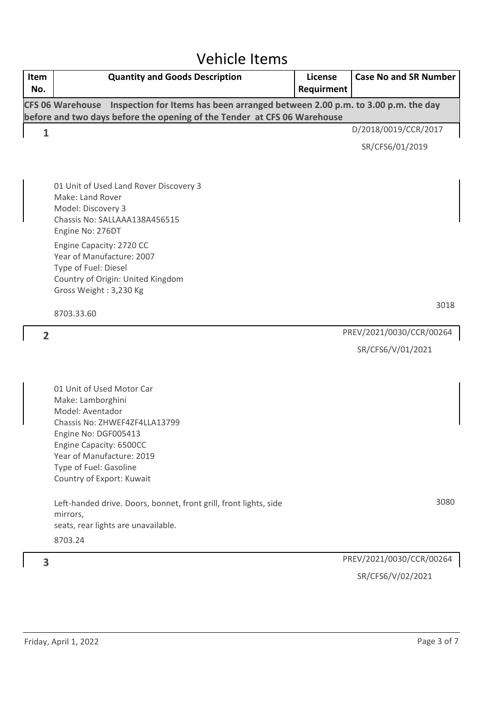#### Vehicle Items

| Item<br>No.    | <b>Quantity and Goods Description</b>                                                                                                                                                                                                      | License<br>Requirment | <b>Case No and SR Number</b> |
|----------------|--------------------------------------------------------------------------------------------------------------------------------------------------------------------------------------------------------------------------------------------|-----------------------|------------------------------|
|                | Inspection for Items has been arranged between 2.00 p.m. to 3.00 p.m. the day<br><b>CFS 06 Warehouse</b><br>before and two days before the opening of the Tender at CFS 06 Warehouse                                                       |                       |                              |
| $\mathbf{1}$   |                                                                                                                                                                                                                                            |                       | D/2018/0019/CCR/2017         |
|                |                                                                                                                                                                                                                                            |                       | SR/CFS6/01/2019              |
|                |                                                                                                                                                                                                                                            |                       |                              |
|                | 01 Unit of Used Land Rover Discovery 3<br>Make: Land Rover<br>Model: Discovery 3<br>Chassis No: SALLAAA138A456515<br>Engine No: 276DT<br>Engine Capacity: 2720 CC<br>Year of Manufacture: 2007                                             |                       |                              |
|                | Type of Fuel: Diesel<br>Country of Origin: United Kingdom                                                                                                                                                                                  |                       |                              |
|                | Gross Weight: 3,230 Kg                                                                                                                                                                                                                     |                       |                              |
|                | 8703.33.60                                                                                                                                                                                                                                 |                       | 3018                         |
| $\overline{2}$ |                                                                                                                                                                                                                                            |                       | PREV/2021/0030/CCR/00264     |
|                |                                                                                                                                                                                                                                            |                       | SR/CFS6/V/01/2021            |
|                | 01 Unit of Used Motor Car<br>Make: Lamborghini<br>Model: Aventador<br>Chassis No: ZHWEF4ZF4LLA13799<br>Engine No: DGF005413<br>Engine Capacity: 6500CC<br>Year of Manufacture: 2019<br>Type of Fuel: Gasoline<br>Country of Export: Kuwait |                       |                              |
|                | Left-handed drive. Doors, bonnet, front grill, front lights, side<br>mirrors,<br>seats, rear lights are unavailable.<br>8703.24                                                                                                            |                       | 3080                         |
| 3              |                                                                                                                                                                                                                                            |                       | PREV/2021/0030/CCR/00264     |
|                |                                                                                                                                                                                                                                            |                       | SR/CFS6/V/02/2021            |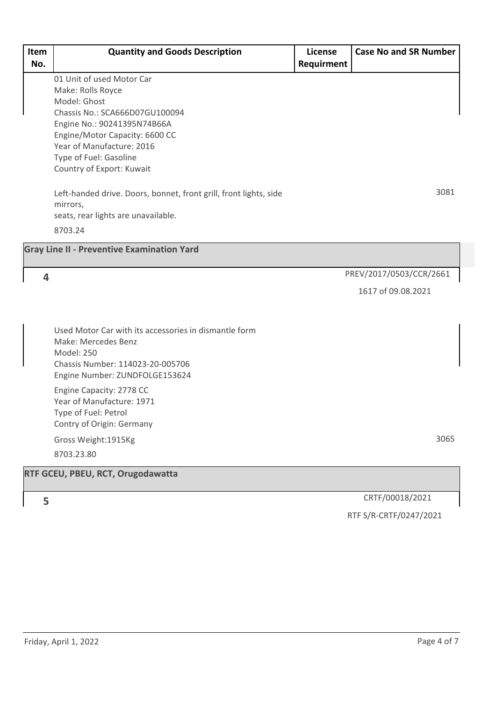| 01 Unit of used Motor Car<br>Make: Rolls Royce<br>Model: Ghost<br>Chassis No.: SCA666D07GU100094<br>Engine No.: 90241395N74B66A<br>Engine/Motor Capacity: 6600 CC<br>Year of Manufacture: 2016<br>Type of Fuel: Gasoline<br>Country of Export: Kuwait<br>3081<br>Left-handed drive. Doors, bonnet, front grill, front lights, side<br>mirrors,<br>seats, rear lights are unavailable.<br>8703.24<br><b>Gray Line II - Preventive Examination Yard</b><br>PREV/2017/0503/CCR/2661<br>4<br>1617 of 09.08.2021<br>Used Motor Car with its accessories in dismantle form<br>Make: Mercedes Benz<br>Model: 250<br>Chassis Number: 114023-20-005706<br>Engine Number: ZUNDFOLGE153624<br>Engine Capacity: 2778 CC<br>Year of Manufacture: 1971<br>Type of Fuel: Petrol<br>Contry of Origin: Germany<br>3065<br>Gross Weight:1915Kg<br>8703.23.80<br>CRTF/00018/2021<br>5<br>RTF S/R-CRTF/0247/2021 | Item<br>No. | <b>Quantity and Goods Description</b> | <b>License</b><br>Requirment | <b>Case No and SR Number</b> |
|----------------------------------------------------------------------------------------------------------------------------------------------------------------------------------------------------------------------------------------------------------------------------------------------------------------------------------------------------------------------------------------------------------------------------------------------------------------------------------------------------------------------------------------------------------------------------------------------------------------------------------------------------------------------------------------------------------------------------------------------------------------------------------------------------------------------------------------------------------------------------------------------|-------------|---------------------------------------|------------------------------|------------------------------|
|                                                                                                                                                                                                                                                                                                                                                                                                                                                                                                                                                                                                                                                                                                                                                                                                                                                                                              |             |                                       |                              |                              |
|                                                                                                                                                                                                                                                                                                                                                                                                                                                                                                                                                                                                                                                                                                                                                                                                                                                                                              |             |                                       |                              |                              |
|                                                                                                                                                                                                                                                                                                                                                                                                                                                                                                                                                                                                                                                                                                                                                                                                                                                                                              |             |                                       |                              |                              |
|                                                                                                                                                                                                                                                                                                                                                                                                                                                                                                                                                                                                                                                                                                                                                                                                                                                                                              |             |                                       |                              |                              |
|                                                                                                                                                                                                                                                                                                                                                                                                                                                                                                                                                                                                                                                                                                                                                                                                                                                                                              |             |                                       |                              |                              |
|                                                                                                                                                                                                                                                                                                                                                                                                                                                                                                                                                                                                                                                                                                                                                                                                                                                                                              |             |                                       |                              |                              |
|                                                                                                                                                                                                                                                                                                                                                                                                                                                                                                                                                                                                                                                                                                                                                                                                                                                                                              |             |                                       |                              |                              |
|                                                                                                                                                                                                                                                                                                                                                                                                                                                                                                                                                                                                                                                                                                                                                                                                                                                                                              |             |                                       |                              |                              |
|                                                                                                                                                                                                                                                                                                                                                                                                                                                                                                                                                                                                                                                                                                                                                                                                                                                                                              |             |                                       |                              |                              |
| RTF GCEU, PBEU, RCT, Orugodawatta                                                                                                                                                                                                                                                                                                                                                                                                                                                                                                                                                                                                                                                                                                                                                                                                                                                            |             |                                       |                              |                              |
|                                                                                                                                                                                                                                                                                                                                                                                                                                                                                                                                                                                                                                                                                                                                                                                                                                                                                              |             |                                       |                              |                              |
|                                                                                                                                                                                                                                                                                                                                                                                                                                                                                                                                                                                                                                                                                                                                                                                                                                                                                              |             |                                       |                              |                              |
|                                                                                                                                                                                                                                                                                                                                                                                                                                                                                                                                                                                                                                                                                                                                                                                                                                                                                              |             |                                       |                              |                              |
|                                                                                                                                                                                                                                                                                                                                                                                                                                                                                                                                                                                                                                                                                                                                                                                                                                                                                              |             |                                       |                              |                              |
|                                                                                                                                                                                                                                                                                                                                                                                                                                                                                                                                                                                                                                                                                                                                                                                                                                                                                              |             |                                       |                              |                              |
|                                                                                                                                                                                                                                                                                                                                                                                                                                                                                                                                                                                                                                                                                                                                                                                                                                                                                              |             |                                       |                              |                              |
|                                                                                                                                                                                                                                                                                                                                                                                                                                                                                                                                                                                                                                                                                                                                                                                                                                                                                              |             |                                       |                              |                              |
|                                                                                                                                                                                                                                                                                                                                                                                                                                                                                                                                                                                                                                                                                                                                                                                                                                                                                              |             |                                       |                              |                              |
|                                                                                                                                                                                                                                                                                                                                                                                                                                                                                                                                                                                                                                                                                                                                                                                                                                                                                              |             |                                       |                              |                              |
|                                                                                                                                                                                                                                                                                                                                                                                                                                                                                                                                                                                                                                                                                                                                                                                                                                                                                              |             |                                       |                              |                              |
|                                                                                                                                                                                                                                                                                                                                                                                                                                                                                                                                                                                                                                                                                                                                                                                                                                                                                              |             |                                       |                              |                              |
|                                                                                                                                                                                                                                                                                                                                                                                                                                                                                                                                                                                                                                                                                                                                                                                                                                                                                              |             |                                       |                              |                              |
|                                                                                                                                                                                                                                                                                                                                                                                                                                                                                                                                                                                                                                                                                                                                                                                                                                                                                              |             |                                       |                              |                              |
|                                                                                                                                                                                                                                                                                                                                                                                                                                                                                                                                                                                                                                                                                                                                                                                                                                                                                              |             |                                       |                              |                              |
|                                                                                                                                                                                                                                                                                                                                                                                                                                                                                                                                                                                                                                                                                                                                                                                                                                                                                              |             |                                       |                              |                              |
|                                                                                                                                                                                                                                                                                                                                                                                                                                                                                                                                                                                                                                                                                                                                                                                                                                                                                              |             |                                       |                              |                              |
|                                                                                                                                                                                                                                                                                                                                                                                                                                                                                                                                                                                                                                                                                                                                                                                                                                                                                              |             |                                       |                              |                              |
|                                                                                                                                                                                                                                                                                                                                                                                                                                                                                                                                                                                                                                                                                                                                                                                                                                                                                              |             |                                       |                              |                              |
|                                                                                                                                                                                                                                                                                                                                                                                                                                                                                                                                                                                                                                                                                                                                                                                                                                                                                              |             |                                       |                              |                              |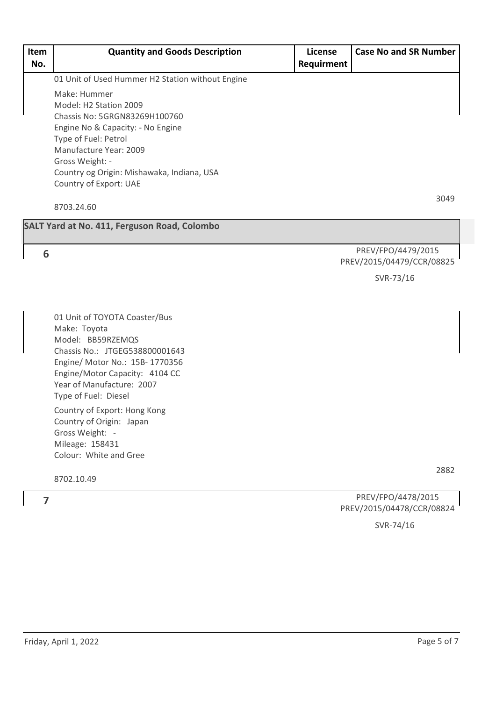| Item<br>No. | <b>Quantity and Goods Description</b>                              | License<br>Requirment | <b>Case No and SR Number</b>                    |
|-------------|--------------------------------------------------------------------|-----------------------|-------------------------------------------------|
|             | 01 Unit of Used Hummer H2 Station without Engine                   |                       |                                                 |
|             | Make: Hummer                                                       |                       |                                                 |
|             | Model: H2 Station 2009                                             |                       |                                                 |
|             | Chassis No: 5GRGN83269H100760<br>Engine No & Capacity: - No Engine |                       |                                                 |
|             | Type of Fuel: Petrol                                               |                       |                                                 |
|             | Manufacture Year: 2009                                             |                       |                                                 |
|             | Gross Weight: -                                                    |                       |                                                 |
|             | Country og Origin: Mishawaka, Indiana, USA                         |                       |                                                 |
|             | Country of Export: UAE                                             |                       |                                                 |
|             | 8703.24.60                                                         |                       | 3049                                            |
|             | <b>SALT Yard at No. 411, Ferguson Road, Colombo</b>                |                       |                                                 |
|             |                                                                    |                       |                                                 |
| 6           |                                                                    |                       | PREV/FPO/4479/2015<br>PREV/2015/04479/CCR/08825 |
|             |                                                                    |                       | SVR-73/16                                       |
|             |                                                                    |                       |                                                 |
|             |                                                                    |                       |                                                 |
|             | 01 Unit of TOYOTA Coaster/Bus<br>Make: Toyota                      |                       |                                                 |
|             | Model: BB59RZEMQS                                                  |                       |                                                 |
|             | Chassis No.: JTGEG538800001643                                     |                       |                                                 |
|             | Engine/ Motor No.: 15B-1770356                                     |                       |                                                 |
|             | Engine/Motor Capacity: 4104 CC                                     |                       |                                                 |
|             | Year of Manufacture: 2007<br>Type of Fuel: Diesel                  |                       |                                                 |
|             |                                                                    |                       |                                                 |
|             | Country of Export: Hong Kong<br>Country of Origin: Japan           |                       |                                                 |
|             | Gross Weight: -                                                    |                       |                                                 |
|             | Mileage: 158431                                                    |                       |                                                 |
|             | Colour: White and Gree                                             |                       |                                                 |
|             |                                                                    |                       | 2882                                            |
|             | 8702.10.49                                                         |                       |                                                 |
| 7           |                                                                    |                       | PREV/FPO/4478/2015                              |
|             |                                                                    |                       | PREV/2015/04478/CCR/08824                       |

SVR-74/16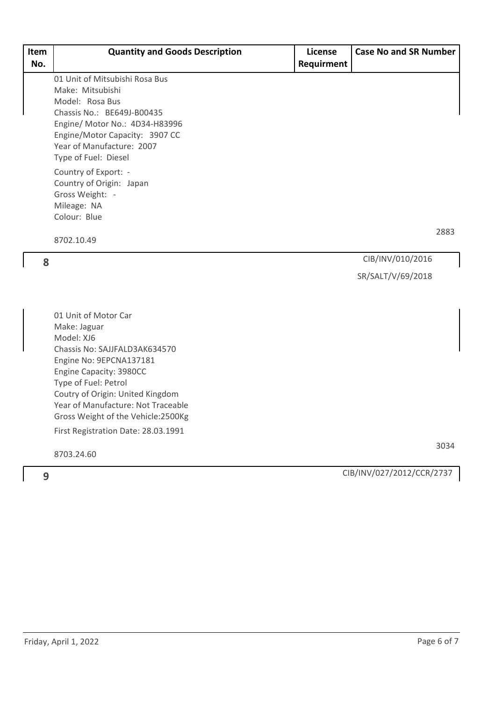| Item | <b>Quantity and Goods Description</b>              | <b>License</b> | <b>Case No and SR Number</b> |
|------|----------------------------------------------------|----------------|------------------------------|
| No.  |                                                    | Requirment     |                              |
|      | 01 Unit of Mitsubishi Rosa Bus                     |                |                              |
|      | Make: Mitsubishi<br>Model: Rosa Bus                |                |                              |
|      | Chassis No.: BE649J-B00435                         |                |                              |
|      | Engine/ Motor No.: 4D34-H83996                     |                |                              |
|      | Engine/Motor Capacity: 3907 CC                     |                |                              |
|      | Year of Manufacture: 2007                          |                |                              |
|      | Type of Fuel: Diesel                               |                |                              |
|      | Country of Export: -                               |                |                              |
|      | Country of Origin: Japan                           |                |                              |
|      | Gross Weight: -<br>Mileage: NA                     |                |                              |
|      | Colour: Blue                                       |                |                              |
|      |                                                    |                | 2883                         |
|      | 8702.10.49                                         |                |                              |
| 8    |                                                    |                | CIB/INV/010/2016             |
|      |                                                    |                | SR/SALT/V/69/2018            |
|      |                                                    |                |                              |
|      | 01 Unit of Motor Car                               |                |                              |
|      | Make: Jaguar                                       |                |                              |
|      | Model: XJ6                                         |                |                              |
|      | Chassis No: SAJJFALD3AK634570                      |                |                              |
|      | Engine No: 9EPCNA137181<br>Engine Capacity: 3980CC |                |                              |
|      | Type of Fuel: Petrol                               |                |                              |
|      | Coutry of Origin: United Kingdom                   |                |                              |
|      | Year of Manufacture: Not Traceable                 |                |                              |
|      | Gross Weight of the Vehicle:2500Kg                 |                |                              |
|      | First Registration Date: 28.03.1991                |                |                              |
|      | 8703.24.60                                         |                | 3034                         |
| 9    |                                                    |                | CIB/INV/027/2012/CCR/2737    |
|      |                                                    |                |                              |
|      |                                                    |                |                              |
|      |                                                    |                |                              |